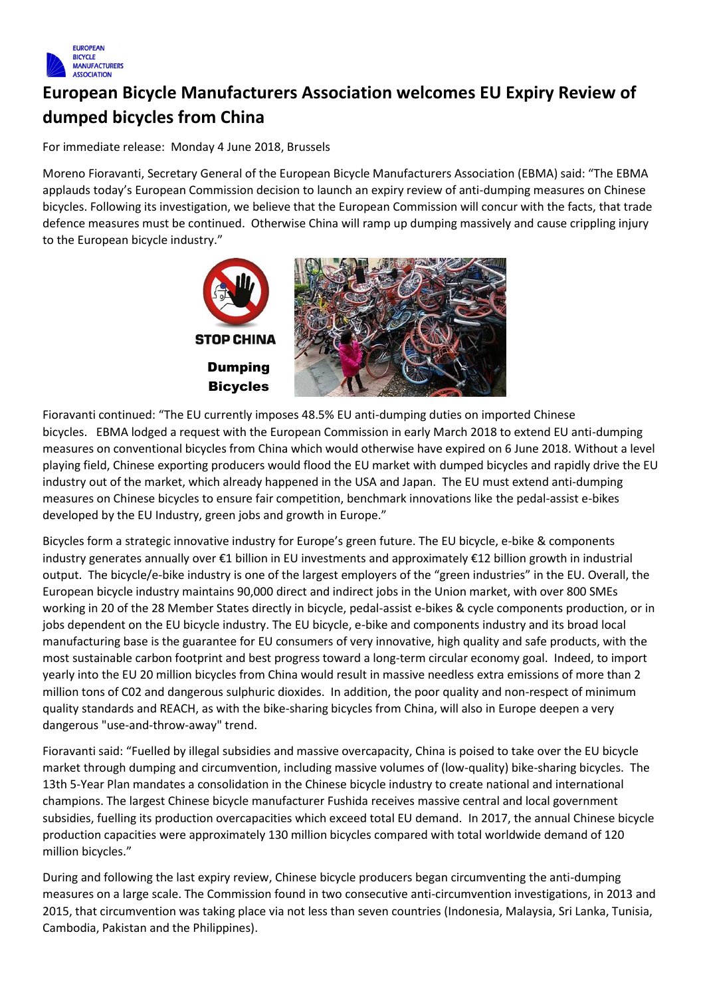

## **European Bicycle Manufacturers Association welcomes EU Expiry Review of dumped bicycles from China**

For immediate release: Monday 4 June 2018, Brussels

Moreno Fioravanti, Secretary General of the European Bicycle Manufacturers Association (EBMA) said: "The EBMA applauds today's European Commission decision to launch an expiry review of anti-dumping measures on Chinese bicycles. Following its investigation, we believe that the European Commission will concur with the facts, that trade defence measures must be continued. Otherwise China will ramp up dumping massively and cause crippling injury to the European bicycle industry."



Fioravanti continued: "The EU currently imposes 48.5% EU anti-dumping duties on imported Chinese bicycles. EBMA lodged a request with the European Commission in early March 2018 to extend EU anti-dumping measures on conventional bicycles from China which would otherwise have expired on 6 June 2018. Without a level playing field, Chinese exporting producers would flood the EU market with dumped bicycles and rapidly drive the EU industry out of the market, which already happened in the USA and Japan. The EU must extend anti-dumping measures on Chinese bicycles to ensure fair competition, benchmark innovations like the pedal-assist e-bikes developed by the EU Industry, green jobs and growth in Europe."

Bicycles form a strategic innovative industry for Europe's green future. The EU bicycle, e-bike & components industry generates annually over €1 billion in EU investments and approximately €12 billion growth in industrial output. The bicycle/e-bike industry is one of the largest employers of the "green industries" in the EU. Overall, the European bicycle industry maintains 90,000 direct and indirect jobs in the Union market, with over 800 SMEs working in 20 of the 28 Member States directly in bicycle, pedal-assist e-bikes & cycle components production, or in jobs dependent on the EU bicycle industry. The EU bicycle, e-bike and components industry and its broad local manufacturing base is the guarantee for EU consumers of very innovative, high quality and safe products, with the most sustainable carbon footprint and best progress toward a long-term circular economy goal. Indeed, to import yearly into the EU 20 million bicycles from China would result in massive needless extra emissions of more than 2 million tons of C02 and dangerous sulphuric dioxides. In addition, the poor quality and non-respect of minimum quality standards and REACH, as with the bike-sharing bicycles from China, will also in Europe deepen a very dangerous "use-and-throw-away" trend.

Fioravanti said: "Fuelled by illegal subsidies and massive overcapacity, China is poised to take over the EU bicycle market through dumping and circumvention, including massive volumes of (low-quality) bike-sharing bicycles. The 13th 5-Year Plan mandates a consolidation in the Chinese bicycle industry to create national and international champions. The largest Chinese bicycle manufacturer Fushida receives massive central and local government subsidies, fuelling its production overcapacities which exceed total EU demand. In 2017, the annual Chinese bicycle production capacities were approximately 130 million bicycles compared with total worldwide demand of 120 million bicycles."

During and following the last expiry review, Chinese bicycle producers began circumventing the anti-dumping measures on a large scale. The Commission found in two consecutive anti-circumvention investigations, in 2013 and 2015, that circumvention was taking place via not less than seven countries (Indonesia, Malaysia, Sri Lanka, Tunisia, Cambodia, Pakistan and the Philippines).